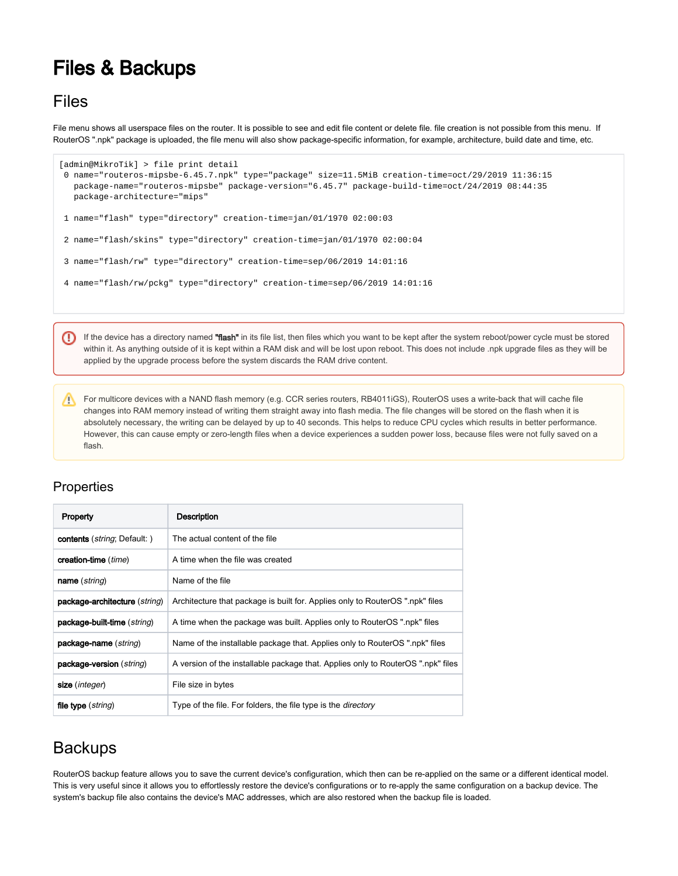## Files & Backups

## Files

File menu shows all userspace files on the router. It is possible to see and edit file content or delete file. file creation is not possible from this menu. If RouterOS ".npk" package is uploaded, the file menu will also show package-specific information, for example, architecture, build date and time, etc.

```
[admin@MikroTik] > file print detail 
 0 name="routeros-mipsbe-6.45.7.npk" type="package" size=11.5MiB creation-time=oct/29/2019 11:36:15 
   package-name="routeros-mipsbe" package-version="6.45.7" package-build-time=oct/24/2019 08:44:35 
   package-architecture="mips" 
 1 name="flash" type="directory" creation-time=jan/01/1970 02:00:03 
 2 name="flash/skins" type="directory" creation-time=jan/01/1970 02:00:04 
 3 name="flash/rw" type="directory" creation-time=sep/06/2019 14:01:16 
 4 name="flash/rw/pckg" type="directory" creation-time=sep/06/2019 14:01:16
```
ω If the device has a directory named "flash" in its file list, then files which you want to be kept after the system reboot/power cycle must be stored within it. As anything outside of it is kept within a RAM disk and will be lost upon reboot. This does not include .npk upgrade files as they will be applied by the upgrade process before the system discards the RAM drive content.

For multicore devices with a NAND flash memory (e.g. CCR series routers, RB4011iGS), RouterOS uses a write-back that will cache file changes into RAM memory instead of writing them straight away into flash media. The file changes will be stored on the flash when it is absolutely necessary, the writing can be delayed by up to 40 seconds. This helps to reduce CPU cycles which results in better performance. However, this can cause empty or zero-length files when a device experiences a sudden power loss, because files were not fully saved on a flash.

## **Properties**

| Property                                     | <b>Description</b>                                                               |
|----------------------------------------------|----------------------------------------------------------------------------------|
| <b>contents</b> ( <i>string</i> ; Default: ) | The actual content of the file                                                   |
| creation-time ( <i>time</i> )                | A time when the file was created                                                 |
| <b>name</b> ( <i>string</i> )                | Name of the file                                                                 |
| package-architecture (string)                | Architecture that package is built for. Applies only to RouterOS ".npk" files    |
| package-built-time (string)                  | A time when the package was built. Applies only to RouterOS ".npk" files         |
| package-name (string)                        | Name of the installable package that. Applies only to RouterOS ".npk" files      |
| package-version (string)                     | A version of the installable package that. Applies only to RouterOS ".npk" files |
| size ( <i>integer</i> )                      | File size in bytes                                                               |
| file type (string)                           | Type of the file. For folders, the file type is the <i>directory</i>             |

## **Backups**

RouterOS backup feature allows you to save the current device's configuration, which then can be re-applied on the same or a different identical model. This is very useful since it allows you to effortlessly restore the device's configurations or to re-apply the same configuration on a backup device. The system's backup file also contains the device's MAC addresses, which are also restored when the backup file is loaded.